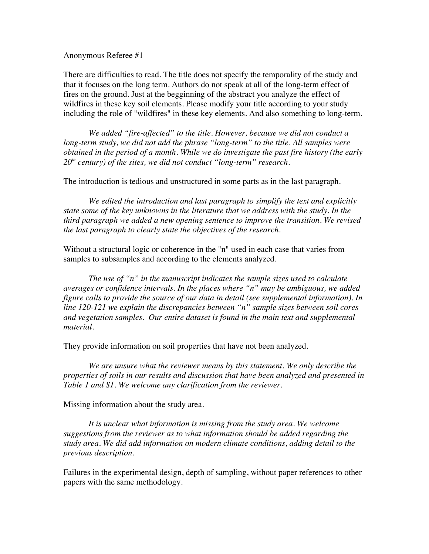## Anonymous Referee #1

There are difficulties to read. The title does not specify the temporality of the study and that it focuses on the long term. Authors do not speak at all of the long-term effect of fires on the ground. Just at the begginning of the abstract you analyze the effect of wildfires in these key soil elements. Please modify your title according to your study including the role of "wildfires" in these key elements. And also something to long-term.

*We added "fire-affected" to the title. However, because we did not conduct a long-term study, we did not add the phrase "long-term" to the title. All samples were obtained in the period of a month. While we do investigate the past fire history (the early 20th century) of the sites, we did not conduct "long-term" research.*

The introduction is tedious and unstructured in some parts as in the last paragraph.

*We edited the introduction and last paragraph to simplify the text and explicitly state some of the key unknowns in the literature that we address with the study. In the third paragraph we added a new opening sentence to improve the transition. We revised the last paragraph to clearly state the objectives of the research.*

Without a structural logic or coherence in the "n" used in each case that varies from samples to subsamples and according to the elements analyzed.

*The use of "n" in the manuscript indicates the sample sizes used to calculate averages or confidence intervals. In the places where "n" may be ambiguous, we added figure calls to provide the source of our data in detail (see supplemental information). In line 120-121 we explain the discrepancies between "n" sample sizes between soil cores and vegetation samples. Our entire dataset is found in the main text and supplemental material.*

They provide information on soil properties that have not been analyzed.

*We are unsure what the reviewer means by this statement. We only describe the properties of soils in our results and discussion that have been analyzed and presented in Table 1 and S1. We welcome any clarification from the reviewer.*

Missing information about the study area.

*It is unclear what information is missing from the study area. We welcome suggestions from the reviewer as to what information should be added regarding the study area. We did add information on modern climate conditions, adding detail to the previous description.* 

Failures in the experimental design, depth of sampling, without paper references to other papers with the same methodology.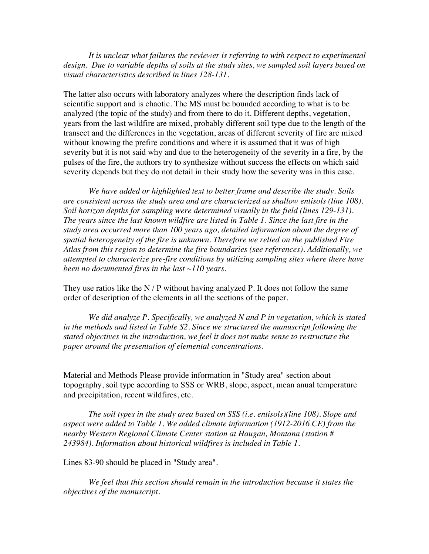*It is unclear what failures the reviewer is referring to with respect to experimental design. Due to variable depths of soils at the study sites, we sampled soil layers based on visual characteristics described in lines 128-131.*

The latter also occurs with laboratory analyzes where the description finds lack of scientific support and is chaotic. The MS must be bounded according to what is to be analyzed (the topic of the study) and from there to do it. Different depths, vegetation, years from the last wildfire are mixed, probably different soil type due to the length of the transect and the differences in the vegetation, areas of different severity of fire are mixed without knowing the prefire conditions and where it is assumed that it was of high severity but it is not said why and due to the heterogeneity of the severity in a fire, by the pulses of the fire, the authors try to synthesize without success the effects on which said severity depends but they do not detail in their study how the severity was in this case.

*We have added or highlighted text to better frame and describe the study. Soils are consistent across the study area and are characterized as shallow entisols (line 108). Soil horizon depths for sampling were determined visually in the field (lines 129-131). The years since the last known wildfire are listed in Table 1. Since the last fire in the study area occurred more than 100 years ago, detailed information about the degree of spatial heterogeneity of the fire is unknown. Therefore we relied on the published Fire Atlas from this region to determine the fire boundaries (see references). Additionally, we attempted to characterize pre-fire conditions by utilizing sampling sites where there have been no documented fires in the last ~110 years.*

They use ratios like the N / P without having analyzed P. It does not follow the same order of description of the elements in all the sections of the paper.

*We did analyze P. Specifically, we analyzed N and P in vegetation, which is stated in the methods and listed in Table S2. Since we structured the manuscript following the stated objectives in the introduction, we feel it does not make sense to restructure the paper around the presentation of elemental concentrations.* 

Material and Methods Please provide information in "Study area" section about topography, soil type according to SSS or WRB, slope, aspect, mean anual temperature and precipitation, recent wildfires, etc.

*The soil types in the study area based on SSS (i.e. entisols)(line 108). Slope and aspect were added to Table 1. We added climate information (1912-2016 CE) from the nearby Western Regional Climate Center station at Haugan, Montana (station # 243984). Information about historical wildfires is included in Table 1.* 

Lines 83-90 should be placed in "Study area".

*We feel that this section should remain in the introduction because it states the objectives of the manuscript.*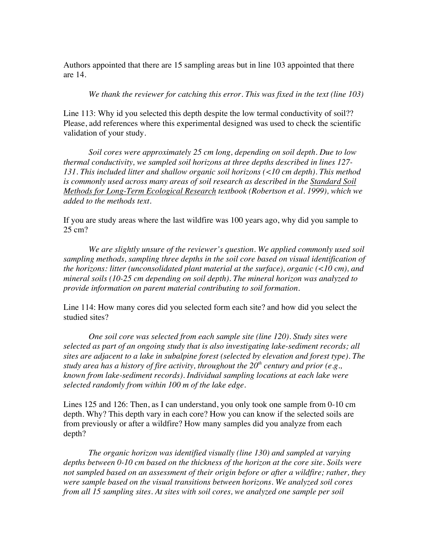Authors appointed that there are 15 sampling areas but in line 103 appointed that there are 14.

*We thank the reviewer for catching this error. This was fixed in the text (line 103)*

Line 113: Why id you selected this depth despite the low termal conductivity of soil?? Please, add references where this experimental designed was used to check the scientific validation of your study.

*Soil cores were approximately 25 cm long, depending on soil depth. Due to low thermal conductivity, we sampled soil horizons at three depths described in lines 127- 131. This included litter and shallow organic soil horizons (<10 cm depth). This method is commonly used across many areas of soil research as described in the Standard Soil Methods for Long-Term Ecological Research textbook (Robertson et al. 1999), which we added to the methods text.* 

If you are study areas where the last wildfire was 100 years ago, why did you sample to 25 cm?

*We are slightly unsure of the reviewer's question. We applied commonly used soil sampling methods, sampling three depths in the soil core based on visual identification of the horizons: litter (unconsolidated plant material at the surface), organic (<10 cm), and mineral soils (10-25 cm depending on soil depth). The mineral horizon was analyzed to provide information on parent material contributing to soil formation.*

Line 114: How many cores did you selected form each site? and how did you select the studied sites?

*One soil core was selected from each sample site (line 120). Study sites were selected as part of an ongoing study that is also investigating lake-sediment records; all sites are adjacent to a lake in subalpine forest (selected by elevation and forest type). The study area has a history of fire activity, throughout the 20th century and prior (e.g., known from lake-sediment records). Individual sampling locations at each lake were selected randomly from within 100 m of the lake edge.*

Lines 125 and 126: Then, as I can understand, you only took one sample from 0-10 cm depth. Why? This depth vary in each core? How you can know if the selected soils are from previously or after a wildfire? How many samples did you analyze from each depth?

*The organic horizon was identified visually (line 130) and sampled at varying depths between 0-10 cm based on the thickness of the horizon at the core site. Soils were not sampled based on an assessment of their origin before or after a wildfire; rather, they were sample based on the visual transitions between horizons. We analyzed soil cores from all 15 sampling sites. At sites with soil cores, we analyzed one sample per soil*